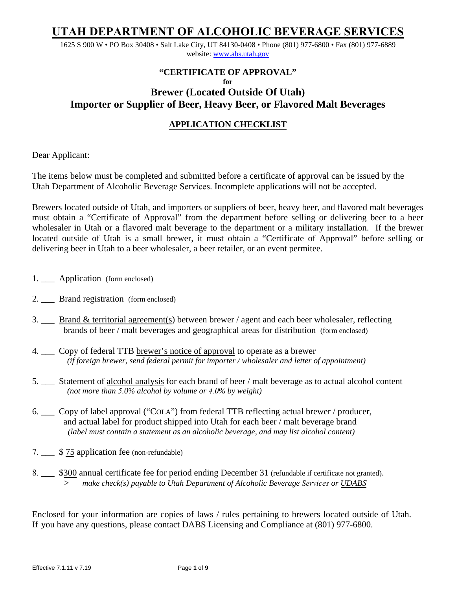1625 S 900 W • PO Box 30408 • Salt Lake City, UT 84130-0408 • Phone (801) 977-6800 • Fax (801) 977-6889 website: www.abs[.utah.gov](http://www.abc.utah.gov/)

## **"CERTIFICATE OF APPROVAL" for Brewer (Located Outside Of Utah) Importer or Supplier of Beer, Heavy Beer, or Flavored Malt Beverages**

## **APPLICATION CHECKLIST**

Dear Applicant:

The items below must be completed and submitted before a certificate of approval can be issued by the Utah Department of Alcoholic Beverage Services. Incomplete applications will not be accepted.

Brewers located outside of Utah, and importers or suppliers of beer, heavy beer, and flavored malt beverages must obtain a "Certificate of Approval" from the department before selling or delivering beer to a beer wholesaler in Utah or a flavored malt beverage to the department or a military installation. If the brewer located outside of Utah is a small brewer, it must obtain a "Certificate of Approval" before selling or delivering beer in Utah to a beer wholesaler, a beer retailer, or an event permitee.

- 1. \_\_\_ Application (form enclosed)
- 2. Brand registration (form enclosed)
- 3.  $\_\_\_\$ Brand & territorial agreement(s) between brewer / agent and each beer wholesaler, reflecting brands of beer / malt beverages and geographical areas for distribution (form enclosed)
- 4. \_\_\_ Copy of federal TTB brewer's notice of approval to operate as a brewer  *(if foreign brewer, send federal permit for importer / wholesaler and letter of appointment)*
- 5. \_\_\_ Statement of alcohol analysis for each brand of beer / malt beverage as to actual alcohol content  *(not more than 5.0% alcohol by volume or 4.0% by weight)*
- 6. \_\_\_ Copy of label approval ("COLA") from federal TTB reflecting actual brewer / producer, and actual label for product shipped into Utah for each beer / malt beverage brand *(label must contain a statement as an alcoholic beverage, and may list alcohol content)*
- 7. \_\_\_ \$ 75 application fee (non-refundable)
- 8. \_\_\_ \$300 annual certificate fee for period ending December 31 (refundable if certificate not granted). *> make check(s) payable to Utah Department of Alcoholic Beverage Services or UDABS*

Enclosed for your information are copies of laws / rules pertaining to brewers located outside of Utah. If you have any questions, please contact DABS Licensing and Compliance at (801) 977-6800.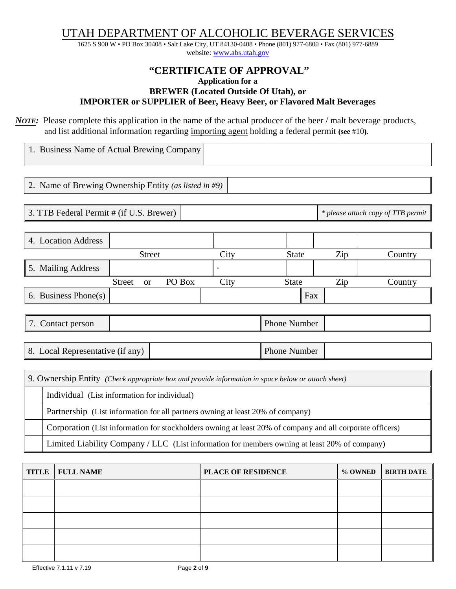1625 S 900 W • PO Box 30408 • Salt Lake City, UT 84130-0408 • Phone (801) 977-6800 • Fax (801) 977-6889 website: www.abs[.utah.gov](http://www.abc.utah.gov/)

## **"CERTIFICATE OF APPROVAL" Application for a BREWER (Located Outside Of Utah), or IMPORTER or SUPPLIER of Beer, Heavy Beer, or Flavored Malt Beverages**

*NOTE*: Please complete this application in the name of the actual producer of the beer / malt beverage products, and list additional information regarding importing agent holding a federal permit (see #10).

| 1. Business Name of Actual Brewing Company                                                                |        |      |                     |     |                                    |
|-----------------------------------------------------------------------------------------------------------|--------|------|---------------------|-----|------------------------------------|
|                                                                                                           |        |      |                     |     |                                    |
| 2. Name of Brewing Ownership Entity (as listed in #9)                                                     |        |      |                     |     |                                    |
|                                                                                                           |        |      |                     |     |                                    |
| 3. TTB Federal Permit # (if U.S. Brewer)                                                                  |        |      |                     |     | * please attach copy of TTB permit |
|                                                                                                           |        |      |                     |     |                                    |
| 4. Location Address                                                                                       |        |      |                     |     |                                    |
| <b>Street</b>                                                                                             |        | City | <b>State</b>        | Zip | Country                            |
| 5. Mailing Address                                                                                        |        |      |                     |     |                                    |
| <b>Street</b><br><b>or</b>                                                                                | PO Box | City | <b>State</b>        | Zip | Country                            |
| 6. Business Phone $(s)$                                                                                   |        |      | Fax                 |     |                                    |
|                                                                                                           |        |      |                     |     |                                    |
| 7. Contact person                                                                                         |        |      | <b>Phone Number</b> |     |                                    |
|                                                                                                           |        |      |                     |     |                                    |
| 8. Local Representative (if any)                                                                          |        |      | <b>Phone Number</b> |     |                                    |
|                                                                                                           |        |      |                     |     |                                    |
| 9. Ownership Entity (Check appropriate box and provide information in space below or attach sheet)        |        |      |                     |     |                                    |
| Individual (List information for individual)                                                              |        |      |                     |     |                                    |
| Partnership (List information for all partners owning at least 20% of company)                            |        |      |                     |     |                                    |
| Corporation (List information for stockholders owning at least 20% of company and all corporate officers) |        |      |                     |     |                                    |
| Limited Liability Company / LLC (List information for members owning at least 20% of company)             |        |      |                     |     |                                    |

| <b>TITLE</b> | <b>FULL NAME</b> | <b>PLACE OF RESIDENCE</b> | % OWNED   BIRTH DATE |
|--------------|------------------|---------------------------|----------------------|
|              |                  |                           |                      |
|              |                  |                           |                      |
|              |                  |                           |                      |
|              |                  |                           |                      |
|              |                  |                           |                      |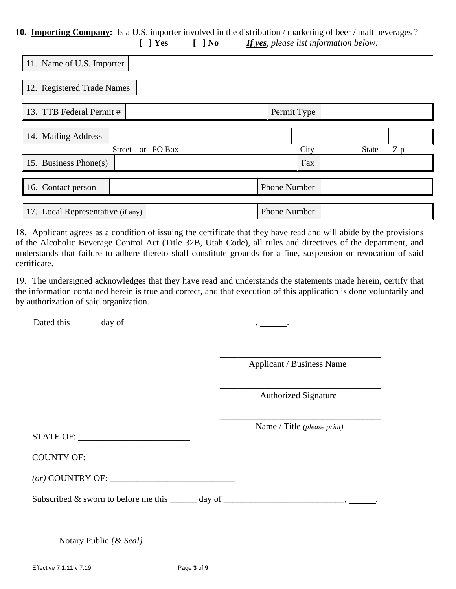### **10. Importing Company:** Is a U.S. importer involved in the distribution / marketing of beer / malt beverages ? **[ ] Yes [ ] No** *If yes, please list information below:*

| 11. Name of U.S. Importer         |                             |
|-----------------------------------|-----------------------------|
|                                   |                             |
| 12. Registered Trade Names        |                             |
|                                   |                             |
| 13. TTB Federal Permit #          | Permit Type                 |
|                                   |                             |
| 14. Mailing Address               |                             |
| Street or PO Box                  | Zip<br>City<br><b>State</b> |
| 15. Business Phone(s)             | Fax                         |
|                                   |                             |
| 16. Contact person                | <b>Phone Number</b>         |
|                                   |                             |
| 17. Local Representative (if any) | <b>Phone Number</b>         |

18. Applicant agrees as a condition of issuing the certificate that they have read and will abide by the provisions of the Alcoholic Beverage Control Act (Title 32B, Utah Code), all rules and directives of the department, and understands that failure to adhere thereto shall constitute grounds for a fine, suspension or revocation of said certificate.

19. The undersigned acknowledges that they have read and understands the statements made herein, certify that the information contained herein is true and correct, and that execution of this application is done voluntarily and by authorization of said organization.

Dated this \_\_\_\_\_\_ day of \_\_\_\_\_\_\_\_\_\_\_\_\_\_\_\_\_\_\_\_\_\_\_\_\_\_\_\_\_, .

\_\_\_\_\_\_\_\_\_\_\_\_\_\_\_\_\_\_\_\_\_\_\_\_\_\_\_\_\_\_\_\_\_\_\_\_ Applicant / Business Name

Authorized Signature

 $\overline{\phantom{a}}$  ,  $\overline{\phantom{a}}$  ,  $\overline{\phantom{a}}$  ,  $\overline{\phantom{a}}$  ,  $\overline{\phantom{a}}$  ,  $\overline{\phantom{a}}$  ,  $\overline{\phantom{a}}$  ,  $\overline{\phantom{a}}$  ,  $\overline{\phantom{a}}$  ,  $\overline{\phantom{a}}$  ,  $\overline{\phantom{a}}$  ,  $\overline{\phantom{a}}$  ,  $\overline{\phantom{a}}$  ,  $\overline{\phantom{a}}$  ,  $\overline{\phantom{a}}$  ,  $\overline{\phantom{a}}$ 

 $\frac{1}{2}$  ,  $\frac{1}{2}$  ,  $\frac{1}{2}$  ,  $\frac{1}{2}$  ,  $\frac{1}{2}$  ,  $\frac{1}{2}$  ,  $\frac{1}{2}$  ,  $\frac{1}{2}$  ,  $\frac{1}{2}$  ,  $\frac{1}{2}$  ,  $\frac{1}{2}$  ,  $\frac{1}{2}$  ,  $\frac{1}{2}$  ,  $\frac{1}{2}$  ,  $\frac{1}{2}$  ,  $\frac{1}{2}$  ,  $\frac{1}{2}$  ,  $\frac{1}{2}$  ,  $\frac{1$ 

| <b>STATE OF:</b> |  |
|------------------|--|
|                  |  |

| Name / Title (please print) |  |  |
|-----------------------------|--|--|
|                             |  |  |

| (or) COUNTRY OF: |
|------------------|
|------------------|

Subscribed  $&$  sworn to before me this  $\qquad \qquad$  day of  $\qquad \qquad$ 

| Notary Public { & Seal} |
|-------------------------|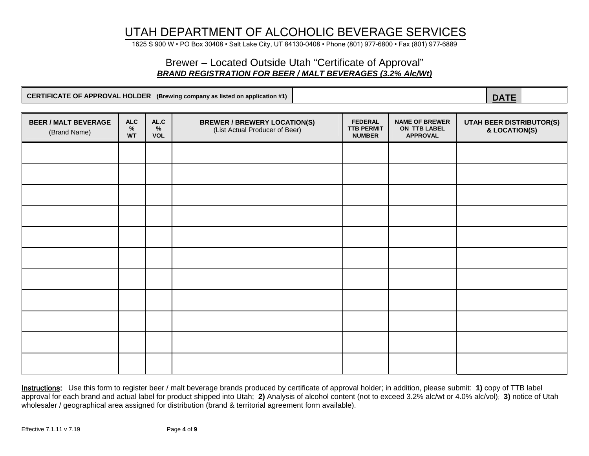1625 S 900 W • PO Box 30408 • Salt Lake City, UT 84130-0408 • Phone (801) 977-6800 • Fax (801) 977-6889

## Brewer – Located Outside Utah "Certificate of Approval" *BRAND REGISTRATION FOR BEER / MALT BEVERAGES (3.2% Alc/Wt)*

|                                             |                                 |                            | CERTIFICATE OF APPROVAL HOLDER (Brewing company as listed on application #1) |                                                      |                                                          | <b>DATE</b>                               |
|---------------------------------------------|---------------------------------|----------------------------|------------------------------------------------------------------------------|------------------------------------------------------|----------------------------------------------------------|-------------------------------------------|
|                                             |                                 |                            |                                                                              |                                                      |                                                          |                                           |
| <b>BEER / MALT BEVERAGE</b><br>(Brand Name) | <b>ALC</b><br>$\%$<br><b>WT</b> | AL.C<br>$\%$<br><b>VOL</b> | <b>BREWER / BREWERY LOCATION(S)</b><br>(List Actual Producer of Beer)        | <b>FEDERAL</b><br><b>TTB PERMIT</b><br><b>NUMBER</b> | <b>NAME OF BREWER</b><br>ON TTB LABEL<br><b>APPROVAL</b> | UTAH BEER DISTRIBUTOR(S)<br>& LOCATION(S) |
|                                             |                                 |                            |                                                                              |                                                      |                                                          |                                           |
|                                             |                                 |                            |                                                                              |                                                      |                                                          |                                           |
|                                             |                                 |                            |                                                                              |                                                      |                                                          |                                           |
|                                             |                                 |                            |                                                                              |                                                      |                                                          |                                           |
|                                             |                                 |                            |                                                                              |                                                      |                                                          |                                           |
|                                             |                                 |                            |                                                                              |                                                      |                                                          |                                           |
|                                             |                                 |                            |                                                                              |                                                      |                                                          |                                           |
|                                             |                                 |                            |                                                                              |                                                      |                                                          |                                           |
|                                             |                                 |                            |                                                                              |                                                      |                                                          |                                           |
|                                             |                                 |                            |                                                                              |                                                      |                                                          |                                           |
|                                             |                                 |                            |                                                                              |                                                      |                                                          |                                           |

Instructions: Use this form to register beer / malt beverage brands produced by certificate of approval holder; in addition, please submit: **1)** copy of TTB label approval for each brand and actual label for product shipped into Utah; **2)** Analysis of alcohol content (not to exceed 3.2% alc/wt or 4.0% alc/vol); **3)** notice of Utah wholesaler / geographical area assigned for distribution (brand & territorial agreement form available).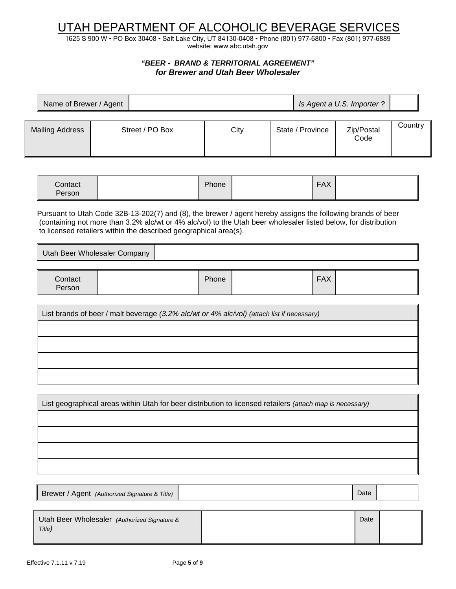1625 S 900 W • PO Box 30408 • Salt Lake City, UT 84130-0408 • Phone (801) 977-6800 • Fax (801) 977-6889 website: www.abc.utah.gov

### *"BEER - BRAND & TERRITORIAL AGREEMENT" for Brewer and Utah Beer Wholesaler*

| Name of Brewer / Agent |                 |      |                  | Is Agent a U.S. Importer? |         |
|------------------------|-----------------|------|------------------|---------------------------|---------|
| <b>Mailing Address</b> | Street / PO Box | City | State / Province | Zip/Postal<br>Code        | Country |

|  | Contact<br>Person |  | Phone |  | <b>FAX</b> |  |
|--|-------------------|--|-------|--|------------|--|
|--|-------------------|--|-------|--|------------|--|

 Pursuant to Utah Code 32B-13-202(7) and (8), the brewer / agent hereby assigns the following brands of beer (containing not more than 3.2% alc/wt or 4% alc/vol) to the Utah beer wholesaler listed below, for distribution to licensed retailers within the described geographical area(s).

Utah Beer Wholesaler Company

| Contact<br>Person | Phone | <b>FAX</b> |  |
|-------------------|-------|------------|--|
|-------------------|-------|------------|--|

List brands of beer / malt beverage *(3.2% alc/wt or 4% alc/vol) (attach list if necessary)*

List geographical areas within Utah for beer distribution to licensed retailers *(attach map is necessary)*

Brewer / Agent *(Authorized Signature & Title)* Nate and *Date* and *Date* and *Date* and *Date* and *Date* and *Date* 

Utah Beer Wholesaler *(Authorized Signature & Title)*

Date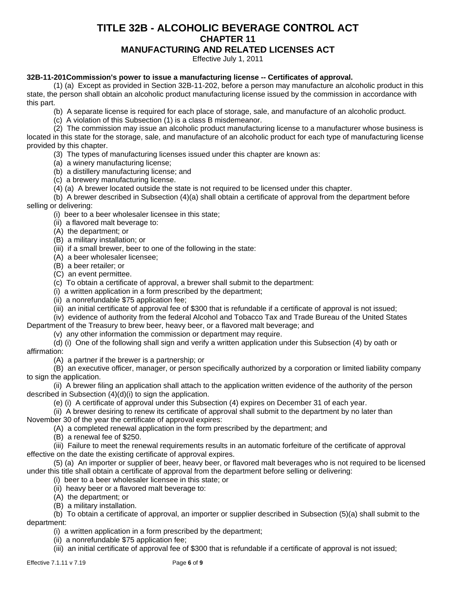## **TITLE 32B - ALCOHOLIC BEVERAGE CONTROL ACT CHAPTER 11 MANUFACTURING AND RELATED LICENSES ACT**

Effective July 1, 2011

#### **32B-11-201Commission's power to issue a manufacturing license -- Certificates of approval.**

(1) (a) Except as provided in Section 32B-11-202, before a person may manufacture an alcoholic product in this state, the person shall obtain an alcoholic product manufacturing license issued by the commission in accordance with this part.

- (b) A separate license is required for each place of storage, sale, and manufacture of an alcoholic product.
- (c) A violation of this Subsection (1) is a class B misdemeanor.

(2) The commission may issue an alcoholic product manufacturing license to a manufacturer whose business is located in this state for the storage, sale, and manufacture of an alcoholic product for each type of manufacturing license provided by this chapter.

(3) The types of manufacturing licenses issued under this chapter are known as:

- (a) a winery manufacturing license;
- (b) a distillery manufacturing license; and
- (c) a brewery manufacturing license.
- (4) (a) A brewer located outside the state is not required to be licensed under this chapter.

(b) A brewer described in Subsection (4)(a) shall obtain a certificate of approval from the department before selling or delivering:

- (i) beer to a beer wholesaler licensee in this state;
- (ii) a flavored malt beverage to:
- (A) the department; or
- (B) a military installation; or
- (iii) if a small brewer, beer to one of the following in the state:
- (A) a beer wholesaler licensee;
- (B) a beer retailer; or
- (C) an event permittee.
- (c) To obtain a certificate of approval, a brewer shall submit to the department:
- (i) a written application in a form prescribed by the department;
- (ii) a nonrefundable \$75 application fee;
- (iii) an initial certificate of approval fee of \$300 that is refundable if a certificate of approval is not issued;
- (iv) evidence of authority from the federal Alcohol and Tobacco Tax and Trade Bureau of the United States
- Department of the Treasury to brew beer, heavy beer, or a flavored malt beverage; and
	- (v) any other information the commission or department may require.
- (d) (i) One of the following shall sign and verify a written application under this Subsection (4) by oath or affirmation:
	- (A) a partner if the brewer is a partnership; or
- (B) an executive officer, manager, or person specifically authorized by a corporation or limited liability company to sign the application.
- (ii) A brewer filing an application shall attach to the application written evidence of the authority of the person described in Subsection (4)(d)(i) to sign the application.
	- (e) (i) A certificate of approval under this Subsection (4) expires on December 31 of each year.
- (ii) A brewer desiring to renew its certificate of approval shall submit to the department by no later than November 30 of the year the certificate of approval expires:
	- (A) a completed renewal application in the form prescribed by the department; and
	- (B) a renewal fee of \$250.
- (iii) Failure to meet the renewal requirements results in an automatic forfeiture of the certificate of approval effective on the date the existing certificate of approval expires.
- (5) (a) An importer or supplier of beer, heavy beer, or flavored malt beverages who is not required to be licensed under this title shall obtain a certificate of approval from the department before selling or delivering:
	- (i) beer to a beer wholesaler licensee in this state; or
	- (ii) heavy beer or a flavored malt beverage to:
	- (A) the department; or
	- (B) a military installation.

(b) To obtain a certificate of approval, an importer or supplier described in Subsection (5)(a) shall submit to the department:

- (i) a written application in a form prescribed by the department;
- (ii) a nonrefundable \$75 application fee;
- (iii) an initial certificate of approval fee of \$300 that is refundable if a certificate of approval is not issued;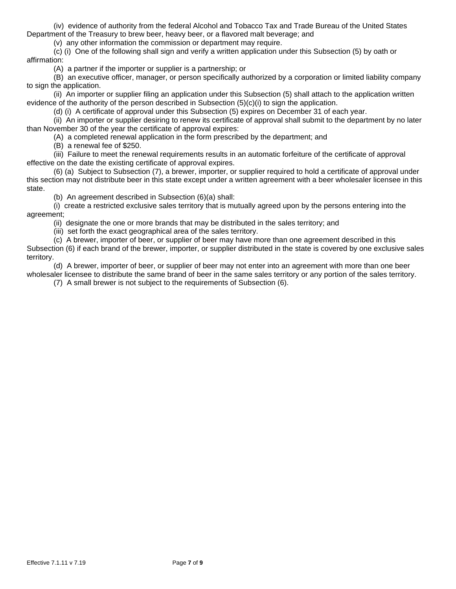(iv) evidence of authority from the federal Alcohol and Tobacco Tax and Trade Bureau of the United States Department of the Treasury to brew beer, heavy beer, or a flavored malt beverage; and

(v) any other information the commission or department may require.

(c) (i) One of the following shall sign and verify a written application under this Subsection (5) by oath or affirmation:

(A) a partner if the importer or supplier is a partnership; or

(B) an executive officer, manager, or person specifically authorized by a corporation or limited liability company to sign the application.

(ii) An importer or supplier filing an application under this Subsection (5) shall attach to the application written evidence of the authority of the person described in Subsection (5)(c)(i) to sign the application.

(d) (i) A certificate of approval under this Subsection (5) expires on December 31 of each year.

(ii) An importer or supplier desiring to renew its certificate of approval shall submit to the department by no later than November 30 of the year the certificate of approval expires:

(A) a completed renewal application in the form prescribed by the department; and

(B) a renewal fee of \$250.

(iii) Failure to meet the renewal requirements results in an automatic forfeiture of the certificate of approval effective on the date the existing certificate of approval expires.

(6) (a) Subject to Subsection (7), a brewer, importer, or supplier required to hold a certificate of approval under this section may not distribute beer in this state except under a written agreement with a beer wholesaler licensee in this state.

(b) An agreement described in Subsection (6)(a) shall:

(i) create a restricted exclusive sales territory that is mutually agreed upon by the persons entering into the agreement;

(ii) designate the one or more brands that may be distributed in the sales territory; and

(iii) set forth the exact geographical area of the sales territory.

(c) A brewer, importer of beer, or supplier of beer may have more than one agreement described in this

Subsection (6) if each brand of the brewer, importer, or supplier distributed in the state is covered by one exclusive sales territory.

(d) A brewer, importer of beer, or supplier of beer may not enter into an agreement with more than one beer wholesaler licensee to distribute the same brand of beer in the same sales territory or any portion of the sales territory.

(7) A small brewer is not subject to the requirements of Subsection (6).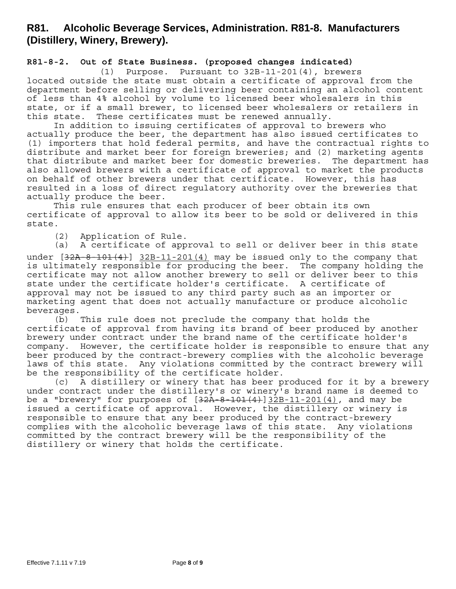## **R81. Alcoholic Beverage Services, Administration. R81-8. Manufacturers (Distillery, Winery, Brewery).**

#### **R81-8-2. Out of State Business. (proposed changes indicated)**

(1) Purpose. Pursuant to 32B-11-201(4), brewers located outside the state must obtain a certificate of approval from the department before selling or delivering beer containing an alcohol content of less than 4% alcohol by volume to licensed beer wholesalers in this state, or if a small brewer, to licensed beer wholesalers or retailers in this state. These certificates must be renewed annually.

In addition to issuing certificates of approval to brewers who actually produce the beer, the department has also issued certificates to (1) importers that hold federal permits, and have the contractual rights to distribute and market beer for foreign breweries; and (2) marketing agents that distribute and market beer for domestic breweries. The department has also allowed brewers with a certificate of approval to market the products on behalf of other brewers under that certificate. However, this has resulted in a loss of direct regulatory authority over the breweries that actually produce the beer.

This rule ensures that each producer of beer obtain its own certificate of approval to allow its beer to be sold or delivered in this state.

(2) Application of Rule.

(a) A certificate of approval to sell or deliver beer in this state

under  $[32A-8-101(4)]$   $32B-11-201(4)$  may be issued only to the company that is ultimately responsible for producing the beer. The company holding the certificate may not allow another brewery to sell or deliver beer to this state under the certificate holder's certificate. A certificate of approval may not be issued to any third party such as an importer or marketing agent that does not actually manufacture or produce alcoholic beverages.

(b) This rule does not preclude the company that holds the certificate of approval from having its brand of beer produced by another brewery under contract under the brand name of the certificate holder's company. However, the certificate holder is responsible to ensure that any beer produced by the contract-brewery complies with the alcoholic beverage laws of this state. Any violations committed by the contract brewery will be the responsibility of the certificate holder.

(c) A distillery or winery that has beer produced for it by a brewery under contract under the distillery's or winery's brand name is deemed to be a "brewery" for purposes of  $[32A-8-101(4)]32B-11-201(4)$ , and may be issued a certificate of approval. However, the distillery or winery is responsible to ensure that any beer produced by the contract-brewery complies with the alcoholic beverage laws of this state. Any violations committed by the contract brewery will be the responsibility of the distillery or winery that holds the certificate.